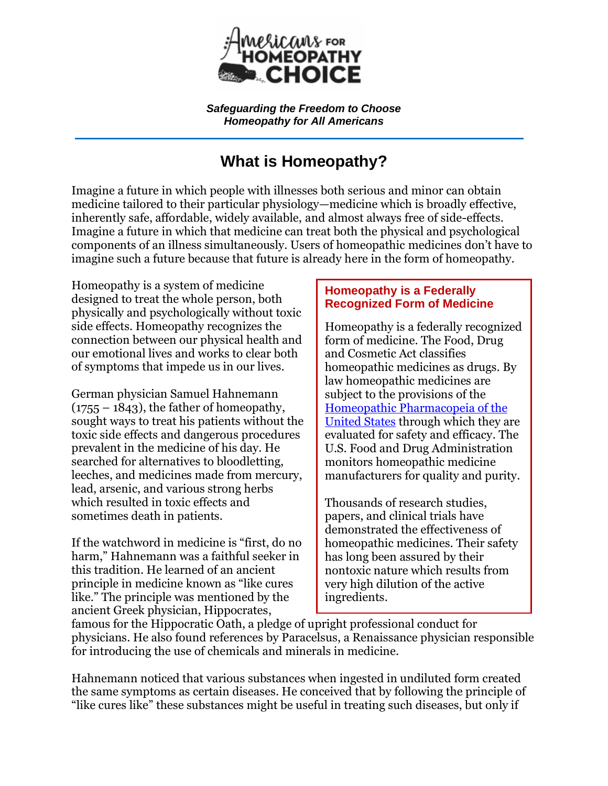

*Safeguarding the Freedom to Choose Homeopathy for All Americans*

## **What is Homeopathy?**

Imagine a future in which people with illnesses both serious and minor can obtain medicine tailored to their particular physiology—medicine which is broadly effective, inherently safe, affordable, widely available, and almost always free of side-effects. Imagine a future in which that medicine can treat both the physical and psychological components of an illness simultaneously. Users of homeopathic medicines don't have to imagine such a future because that future is already here in the form of homeopathy.

Homeopathy is a system of medicine designed to treat the whole person, both physically and psychologically without toxic side effects. Homeopathy recognizes the connection between our physical health and our emotional lives and works to clear both of symptoms that impede us in our lives.

German physician Samuel Hahnemann  $(1755 - 1843)$ , the father of homeopathy, sought ways to treat his patients without the toxic side effects and dangerous procedures prevalent in the medicine of his day. He searched for alternatives to bloodletting, leeches, and medicines made from mercury, lead, arsenic, and various strong herbs which resulted in toxic effects and sometimes death in patients.

If the watchword in medicine is "first, do no harm," Hahnemann was a faithful seeker in this tradition. He learned of an ancient principle in medicine known as "like cures" like." The principle was mentioned by the ancient Greek physician, Hippocrates,

## **Homeopathy is a Federally Recognized Form of Medicine**

Homeopathy is a federally recognized form of medicine. The Food, Drug and Cosmetic Act classifies homeopathic medicines as drugs. By law homeopathic medicines are subject to the provisions of the [Homeopathic Pharmacopeia of the](https://www.hpus.com/)  [United States](https://www.hpus.com/) through which they are evaluated for safety and efficacy. The U.S. Food and Drug Administration monitors homeopathic medicine manufacturers for quality and purity.

Thousands of research studies, papers, and clinical trials have demonstrated the effectiveness of homeopathic medicines. Their safety has long been assured by their nontoxic nature which results from very high dilution of the active ingredients.

famous for the Hippocratic Oath, a pledge of upright professional conduct for physicians. He also found references by Paracelsus, a Renaissance physician responsible for introducing the use of chemicals and minerals in medicine.

Hahnemann noticed that various substances when ingested in undiluted form created the same symptoms as certain diseases. He conceived that by following the principle of ―like cures like‖ these substances might be useful in treating such diseases, but only if